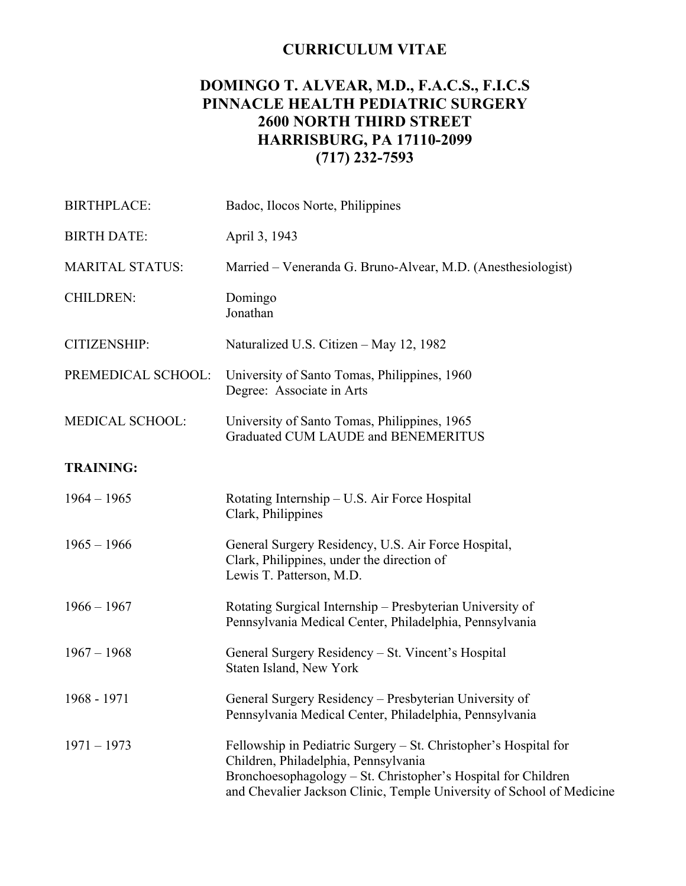# **CURRICULUM VITAE**

# **DOMINGO T. ALVEAR, M.D., F.A.C.S., F.I.C.S PINNACLE HEALTH PEDIATRIC SURGERY 2600 NORTH THIRD STREET HARRISBURG, PA 17110-2099 (717) 232-7593**

| <b>BIRTHPLACE:</b>     | Badoc, Ilocos Norte, Philippines                                                                                                                                                                                                                   |
|------------------------|----------------------------------------------------------------------------------------------------------------------------------------------------------------------------------------------------------------------------------------------------|
| <b>BIRTH DATE:</b>     | April 3, 1943                                                                                                                                                                                                                                      |
| <b>MARITAL STATUS:</b> | Married – Veneranda G. Bruno-Alvear, M.D. (Anesthesiologist)                                                                                                                                                                                       |
| <b>CHILDREN:</b>       | Domingo<br>Jonathan                                                                                                                                                                                                                                |
| CITIZENSHIP:           | Naturalized U.S. Citizen – May 12, 1982                                                                                                                                                                                                            |
| PREMEDICAL SCHOOL:     | University of Santo Tomas, Philippines, 1960<br>Degree: Associate in Arts                                                                                                                                                                          |
| <b>MEDICAL SCHOOL:</b> | University of Santo Tomas, Philippines, 1965<br>Graduated CUM LAUDE and BENEMERITUS                                                                                                                                                                |
| <b>TRAINING:</b>       |                                                                                                                                                                                                                                                    |
| $1964 - 1965$          | Rotating Internship – U.S. Air Force Hospital<br>Clark, Philippines                                                                                                                                                                                |
| $1965 - 1966$          | General Surgery Residency, U.S. Air Force Hospital,<br>Clark, Philippines, under the direction of<br>Lewis T. Patterson, M.D.                                                                                                                      |
| $1966 - 1967$          | Rotating Surgical Internship – Presbyterian University of<br>Pennsylvania Medical Center, Philadelphia, Pennsylvania                                                                                                                               |
| $1967 - 1968$          | General Surgery Residency - St. Vincent's Hospital<br>Staten Island, New York                                                                                                                                                                      |
| 1968 - 1971            | General Surgery Residency - Presbyterian University of<br>Pennsylvania Medical Center, Philadelphia, Pennsylvania                                                                                                                                  |
| $1971 - 1973$          | Fellowship in Pediatric Surgery – St. Christopher's Hospital for<br>Children, Philadelphia, Pennsylvania<br>Bronchoesophagology – St. Christopher's Hospital for Children<br>and Chevalier Jackson Clinic, Temple University of School of Medicine |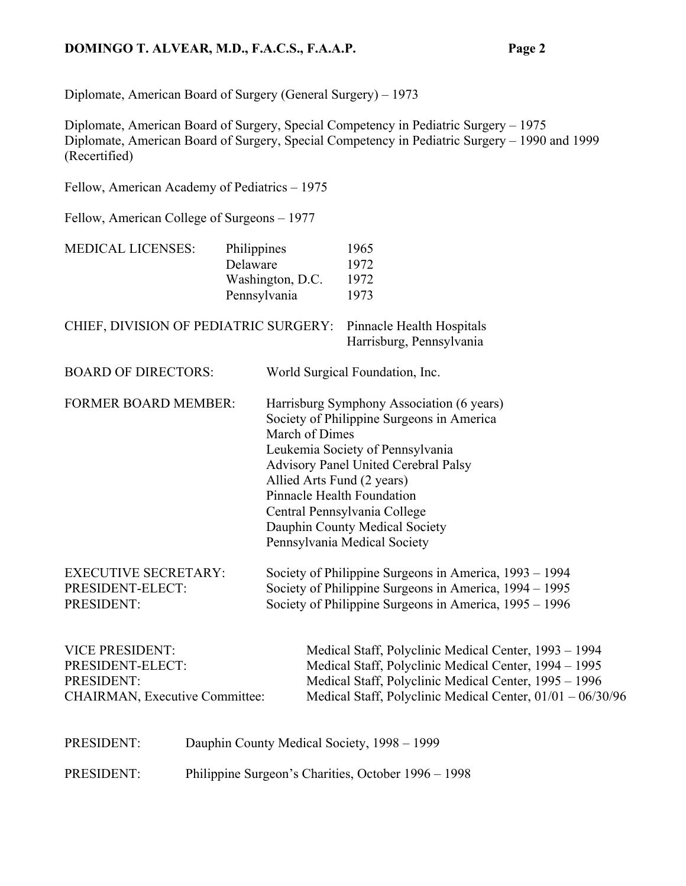# **DOMINGO T. ALVEAR, M.D., F.A.C.S., F.A.A.P. Page 2**

Diplomate, American Board of Surgery (General Surgery) – 1973

Diplomate, American Board of Surgery, Special Competency in Pediatric Surgery – 1975 Diplomate, American Board of Surgery, Special Competency in Pediatric Surgery – 1990 and 1999 (Recertified)

Fellow, American Academy of Pediatrics – 1975

Fellow, American College of Surgeons – 1977

| <b>MEDICAL LICENSES:</b>                                                                          | Philippines<br>Delaware                             | Washington, D.C.<br>Pennsylvania                                                                                                                                           | 1965<br>1972<br>1972<br>1973                                                                                                                                                                                                                                         |  |
|---------------------------------------------------------------------------------------------------|-----------------------------------------------------|----------------------------------------------------------------------------------------------------------------------------------------------------------------------------|----------------------------------------------------------------------------------------------------------------------------------------------------------------------------------------------------------------------------------------------------------------------|--|
| CHIEF, DIVISION OF PEDIATRIC SURGERY:                                                             |                                                     |                                                                                                                                                                            | Pinnacle Health Hospitals<br>Harrisburg, Pennsylvania                                                                                                                                                                                                                |  |
| <b>BOARD OF DIRECTORS:</b>                                                                        |                                                     |                                                                                                                                                                            | World Surgical Foundation, Inc.                                                                                                                                                                                                                                      |  |
| <b>FORMER BOARD MEMBER:</b>                                                                       |                                                     | March of Dimes<br>Allied Arts Fund (2 years)<br>Pinnacle Health Foundation                                                                                                 | Harrisburg Symphony Association (6 years)<br>Society of Philippine Surgeons in America<br>Leukemia Society of Pennsylvania<br>Advisory Panel United Cerebral Palsy<br>Central Pennsylvania College<br>Dauphin County Medical Society<br>Pennsylvania Medical Society |  |
| <b>EXECUTIVE SECRETARY:</b><br>PRESIDENT-ELECT:<br>PRESIDENT:                                     |                                                     | Society of Philippine Surgeons in America, 1993 – 1994<br>Society of Philippine Surgeons in America, 1994 – 1995<br>Society of Philippine Surgeons in America, 1995 – 1996 |                                                                                                                                                                                                                                                                      |  |
| <b>VICE PRESIDENT:</b><br>PRESIDENT-ELECT:<br>PRESIDENT:<br><b>CHAIRMAN, Executive Committee:</b> |                                                     |                                                                                                                                                                            | Medical Staff, Polyclinic Medical Center, 1993 - 1994<br>Medical Staff, Polyclinic Medical Center, 1994 - 1995<br>Medical Staff, Polyclinic Medical Center, 1995 - 1996<br>Medical Staff, Polyclinic Medical Center, 01/01 - 06/30/96                                |  |
| PRESIDENT:                                                                                        |                                                     |                                                                                                                                                                            | Dauphin County Medical Society, 1998 - 1999                                                                                                                                                                                                                          |  |
| PRESIDENT:                                                                                        | Philippine Surgeon's Charities, October 1996 – 1998 |                                                                                                                                                                            |                                                                                                                                                                                                                                                                      |  |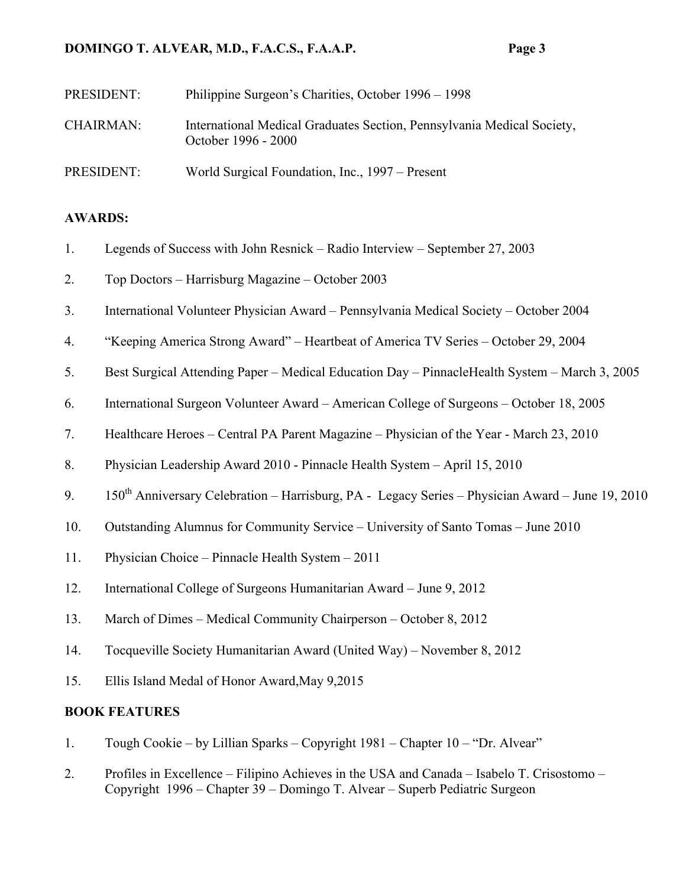# **DOMINGO T. ALVEAR, M.D., F.A.C.S., F.A.A.P. Page 3**

| PRESIDENT:       | Philippine Surgeon's Charities, October 1996 – 1998                                           |
|------------------|-----------------------------------------------------------------------------------------------|
| <b>CHAIRMAN:</b> | International Medical Graduates Section, Pennsylvania Medical Society,<br>October 1996 - 2000 |
| PRESIDENT:       | World Surgical Foundation, Inc., 1997 – Present                                               |

## **AWARDS:**

- 1. Legends of Success with John Resnick Radio Interview September 27, 2003
- 2. Top Doctors Harrisburg Magazine October 2003
- 3. International Volunteer Physician Award Pennsylvania Medical Society October 2004
- 4. "Keeping America Strong Award" Heartbeat of America TV Series October 29, 2004
- 5. Best Surgical Attending Paper Medical Education Day PinnacleHealth System March 3, 2005
- 6. International Surgeon Volunteer Award American College of Surgeons October 18, 2005
- 7. Healthcare Heroes Central PA Parent Magazine Physician of the Year March 23, 2010
- 8. Physician Leadership Award 2010 Pinnacle Health System April 15, 2010
- 9. 150<sup>th</sup> Anniversary Celebration Harrisburg, PA Legacy Series Physician Award June 19, 2010
- 10. Outstanding Alumnus for Community Service University of Santo Tomas June 2010
- 11. Physician Choice Pinnacle Health System 2011
- 12. International College of Surgeons Humanitarian Award June 9, 2012
- 13. March of Dimes Medical Community Chairperson October 8, 2012
- 14. Tocqueville Society Humanitarian Award (United Way) November 8, 2012
- 15. Ellis Island Medal of Honor Award,May 9,2015

### **BOOK FEATURES**

- 1. Tough Cookie by Lillian Sparks Copyright 1981 Chapter 10 "Dr. Alvear"
- 2. Profiles in Excellence Filipino Achieves in the USA and Canada Isabelo T. Crisostomo Copyright 1996 – Chapter 39 – Domingo T. Alvear – Superb Pediatric Surgeon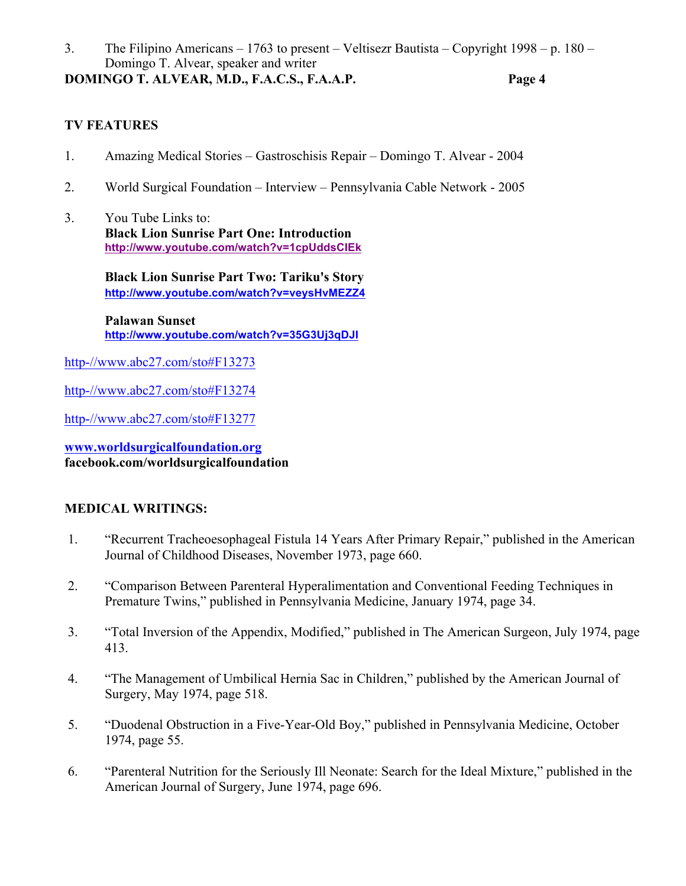3. The Filipino Americans – 1763 to present – Veltisezr Bautista – Copyright 1998 – p. 180 – Domingo T. Alvear, speaker and writer **DOMINGO T. ALVEAR, M.D., F.A.C.S., F.A.A.P. Page 4**

# **TV FEATURES**

- 1. Amazing Medical Stories Gastroschisis Repair Domingo T. Alvear 2004
- 2. World Surgical Foundation Interview Pennsylvania Cable Network 2005
- 3. You Tube Links to:  **Black Lion Sunrise Part One: Introduction http://www.youtube.com/watch?v=1cpUddsCIEk**

 **Black Lion Sunrise Part Two: Tariku's Story http://www.youtube.com/watch?v=veysHvMEZZ4**

**Palawan Sunset http://www.youtube.com/watch?v=35G3Uj3qDJI**

http-//www.abc27.com/sto#F13273

http-//www.abc27.com/sto#F13274

http-//www.abc27.com/sto#F13277

**www.worldsurgicalfoundation.org facebook.com/worldsurgicalfoundation**

## **MEDICAL WRITINGS:**

- 1. "Recurrent Tracheoesophageal Fistula 14 Years After Primary Repair," published in the American Journal of Childhood Diseases, November 1973, page 660.
- 2. "Comparison Between Parenteral Hyperalimentation and Conventional Feeding Techniques in Premature Twins," published in Pennsylvania Medicine, January 1974, page 34.
- 3. "Total Inversion of the Appendix, Modified," published in The American Surgeon, July 1974, page 413.
- 4. "The Management of Umbilical Hernia Sac in Children," published by the American Journal of Surgery, May 1974, page 518.
- 5. "Duodenal Obstruction in a Five-Year-Old Boy," published in Pennsylvania Medicine, October 1974, page 55.
- 6. "Parenteral Nutrition for the Seriously Ill Neonate: Search for the Ideal Mixture," published in the American Journal of Surgery, June 1974, page 696.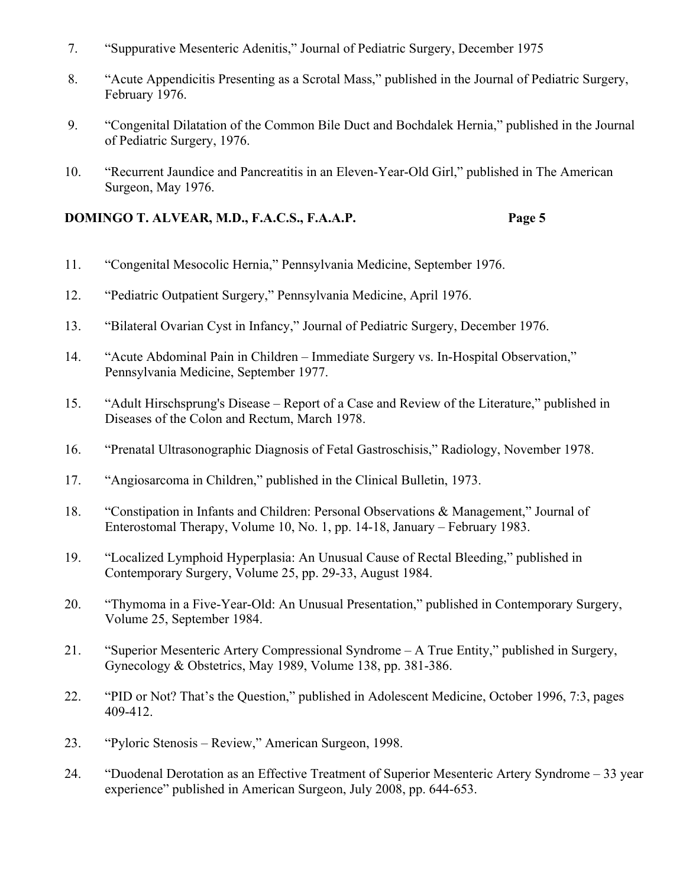- 7. "Suppurative Mesenteric Adenitis," Journal of Pediatric Surgery, December 1975
- 8. "Acute Appendicitis Presenting as a Scrotal Mass," published in the Journal of Pediatric Surgery, February 1976.
- 9. "Congenital Dilatation of the Common Bile Duct and Bochdalek Hernia," published in the Journal of Pediatric Surgery, 1976.
- 10. "Recurrent Jaundice and Pancreatitis in an Eleven-Year-Old Girl," published in The American Surgeon, May 1976.

# **DOMINGO T. ALVEAR, M.D., F.A.C.S., F.A.A.P. Page 5**

- 11. "Congenital Mesocolic Hernia," Pennsylvania Medicine, September 1976.
- 12. "Pediatric Outpatient Surgery," Pennsylvania Medicine, April 1976.
- 13. "Bilateral Ovarian Cyst in Infancy," Journal of Pediatric Surgery, December 1976.
- 14. "Acute Abdominal Pain in Children Immediate Surgery vs. In-Hospital Observation," Pennsylvania Medicine, September 1977.
- 15. "Adult Hirschsprung's Disease Report of a Case and Review of the Literature," published in Diseases of the Colon and Rectum, March 1978.
- 16. "Prenatal Ultrasonographic Diagnosis of Fetal Gastroschisis," Radiology, November 1978.
- 17. "Angiosarcoma in Children," published in the Clinical Bulletin, 1973.
- 18. "Constipation in Infants and Children: Personal Observations & Management," Journal of Enterostomal Therapy, Volume 10, No. 1, pp. 14-18, January – February 1983.
- 19. "Localized Lymphoid Hyperplasia: An Unusual Cause of Rectal Bleeding," published in Contemporary Surgery, Volume 25, pp. 29-33, August 1984.
- 20. "Thymoma in a Five-Year-Old: An Unusual Presentation," published in Contemporary Surgery, Volume 25, September 1984.
- 21. "Superior Mesenteric Artery Compressional Syndrome A True Entity," published in Surgery, Gynecology & Obstetrics, May 1989, Volume 138, pp. 381-386.
- 22. "PID or Not? That's the Question," published in Adolescent Medicine, October 1996, 7:3, pages 409-412.
- 23. "Pyloric Stenosis Review," American Surgeon, 1998.
- 24. "Duodenal Derotation as an Effective Treatment of Superior Mesenteric Artery Syndrome 33 year experience" published in American Surgeon, July 2008, pp. 644-653.